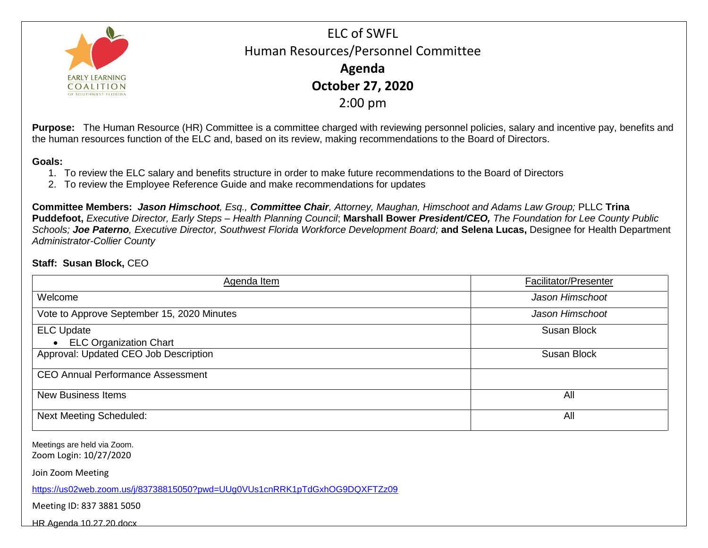

ELC of SWFL Human Resources/Personnel Committee **Agenda October 27, 2020** 2:00 pm

**Purpose:** The Human Resource (HR) Committee is a committee charged with reviewing personnel policies, salary and incentive pay, benefits and the human resources function of the ELC and, based on its review, making recommendations to the Board of Directors.

## **Goals:**

- 1. To review the ELC salary and benefits structure in order to make future recommendations to the Board of Directors
- 2. To review the Employee Reference Guide and make recommendations for updates

**Committee Members:** *Jason Himschoot, Esq., Committee Chair, Attorney, Maughan, Himschoot and Adams Law Group;* PLLC **Trina Puddefoot,** *Executive Director, Early Steps – Health Planning Council*; **Marshall Bower** *President/CEO, The Foundation for Lee County Public Schools; Joe Paterno, Executive Director, Southwest Florida Workforce Development Board;* **and Selena Lucas,** Designee for Health Department *Administrator-Collier County*

## **Staff: Susan Block,** CEO

| Agenda Item                                | Facilitator/Presenter |
|--------------------------------------------|-----------------------|
| Welcome                                    | Jason Himschoot       |
| Vote to Approve September 15, 2020 Minutes | Jason Himschoot       |
| <b>ELC Update</b>                          | Susan Block           |
| • ELC Organization Chart                   |                       |
| Approval: Updated CEO Job Description      | Susan Block           |
| <b>CEO Annual Performance Assessment</b>   |                       |
| <b>New Business Items</b>                  | All                   |
| <b>Next Meeting Scheduled:</b>             | All                   |

Meetings are held via Zoom. Zoom Login: 10/27/2020

Join Zoom Meeting

<https://us02web.zoom.us/j/83738815050?pwd=UUg0VUs1cnRRK1pTdGxhOG9DQXFTZz09>

Meeting ID: 837 3881 5050

[HR Agenda 10.27.20.docx](file:///C:/Users/Virginia.McHale/AppData/Local/Microsoft/Windows/INetCache/Content.Outlook/H0WR3MR4/HR%20Agenda%2010.27.20.docx)